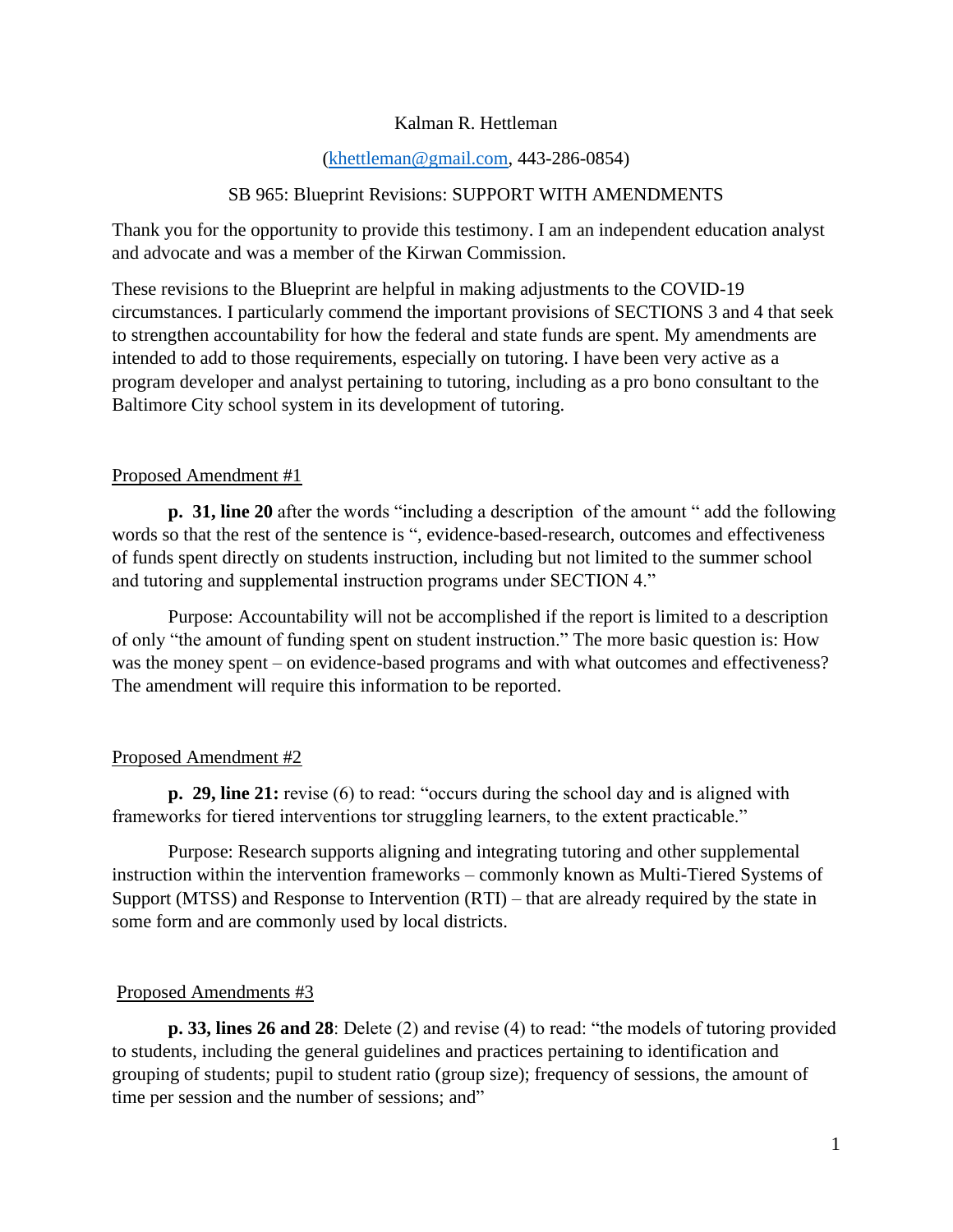## Kalman R. Hettleman

### [\(khettleman@gmail.com,](mailto:khettleman@gmail.com) 443-286-0854)

#### SB 965: Blueprint Revisions: SUPPORT WITH AMENDMENTS

Thank you for the opportunity to provide this testimony. I am an independent education analyst and advocate and was a member of the Kirwan Commission.

These revisions to the Blueprint are helpful in making adjustments to the COVID-19 circumstances. I particularly commend the important provisions of SECTIONS 3 and 4 that seek to strengthen accountability for how the federal and state funds are spent. My amendments are intended to add to those requirements, especially on tutoring. I have been very active as a program developer and analyst pertaining to tutoring, including as a pro bono consultant to the Baltimore City school system in its development of tutoring.

#### Proposed Amendment #1

**p. 31, line 20** after the words "including a description of the amount " add the following words so that the rest of the sentence is ", evidence-based-research, outcomes and effectiveness of funds spent directly on students instruction, including but not limited to the summer school and tutoring and supplemental instruction programs under SECTION 4."

Purpose: Accountability will not be accomplished if the report is limited to a description of only "the amount of funding spent on student instruction." The more basic question is: How was the money spent – on evidence-based programs and with what outcomes and effectiveness? The amendment will require this information to be reported.

#### Proposed Amendment #2

**p. 29, line 21:** revise (6) to read: "occurs during the school day and is aligned with frameworks for tiered interventions tor struggling learners, to the extent practicable."

Purpose: Research supports aligning and integrating tutoring and other supplemental instruction within the intervention frameworks – commonly known as Multi-Tiered Systems of Support (MTSS) and Response to Intervention (RTI) – that are already required by the state in some form and are commonly used by local districts.

#### Proposed Amendments #3

**p. 33, lines 26 and 28**: Delete (2) and revise (4) to read: "the models of tutoring provided to students, including the general guidelines and practices pertaining to identification and grouping of students; pupil to student ratio (group size); frequency of sessions, the amount of time per session and the number of sessions; and"